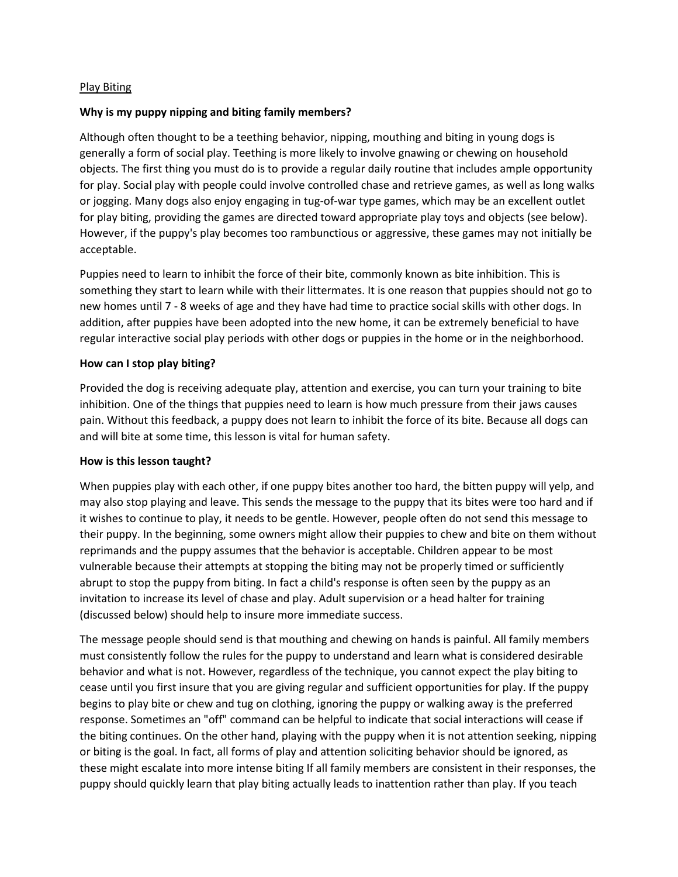#### Play Biting

#### **Why is my puppy nipping and biting family members?**

Although often thought to be a teething behavior, nipping, mouthing and biting in young dogs is generally a form of social play. Teething is more likely to involve gnawing or chewing on household objects. The first thing you must do is to provide a regular daily routine that includes ample opportunity for play. Social play with people could involve controlled chase and retrieve games, as well as long walks or jogging. Many dogs also enjoy engaging in tug-of-war type games, which may be an excellent outlet for play biting, providing the games are directed toward appropriate play toys and objects (see below). However, if the puppy's play becomes too rambunctious or aggressive, these games may not initially be acceptable.

Puppies need to learn to inhibit the force of their bite, commonly known as bite inhibition. This is something they start to learn while with their littermates. It is one reason that puppies should not go to new homes until 7 - 8 weeks of age and they have had time to practice social skills with other dogs. In addition, after puppies have been adopted into the new home, it can be extremely beneficial to have regular interactive social play periods with other dogs or puppies in the home or in the neighborhood.

#### **How can I stop play biting?**

Provided the dog is receiving adequate play, attention and exercise, you can turn your training to bite inhibition. One of the things that puppies need to learn is how much pressure from their jaws causes pain. Without this feedback, a puppy does not learn to inhibit the force of its bite. Because all dogs can and will bite at some time, this lesson is vital for human safety.

#### **How is this lesson taught?**

When puppies play with each other, if one puppy bites another too hard, the bitten puppy will yelp, and may also stop playing and leave. This sends the message to the puppy that its bites were too hard and if it wishes to continue to play, it needs to be gentle. However, people often do not send this message to their puppy. In the beginning, some owners might allow their puppies to chew and bite on them without reprimands and the puppy assumes that the behavior is acceptable. Children appear to be most vulnerable because their attempts at stopping the biting may not be properly timed or sufficiently abrupt to stop the puppy from biting. In fact a child's response is often seen by the puppy as an invitation to increase its level of chase and play. Adult supervision or a head halter for training (discussed below) should help to insure more immediate success.

The message people should send is that mouthing and chewing on hands is painful. All family members must consistently follow the rules for the puppy to understand and learn what is considered desirable behavior and what is not. However, regardless of the technique, you cannot expect the play biting to cease until you first insure that you are giving regular and sufficient opportunities for play. If the puppy begins to play bite or chew and tug on clothing, ignoring the puppy or walking away is the preferred response. Sometimes an "off" command can be helpful to indicate that social interactions will cease if the biting continues. On the other hand, playing with the puppy when it is not attention seeking, nipping or biting is the goal. In fact, all forms of play and attention soliciting behavior should be ignored, as these might escalate into more intense biting If all family members are consistent in their responses, the puppy should quickly learn that play biting actually leads to inattention rather than play. If you teach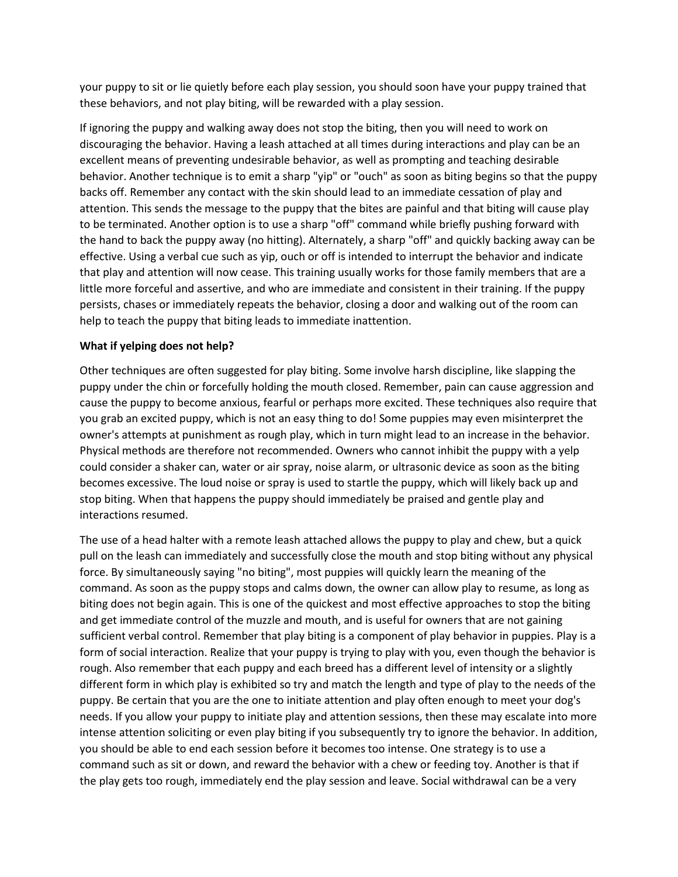your puppy to sit or lie quietly before each play session, you should soon have your puppy trained that these behaviors, and not play biting, will be rewarded with a play session.

If ignoring the puppy and walking away does not stop the biting, then you will need to work on discouraging the behavior. Having a leash attached at all times during interactions and play can be an excellent means of preventing undesirable behavior, as well as prompting and teaching desirable behavior. Another technique is to emit a sharp "yip" or "ouch" as soon as biting begins so that the puppy backs off. Remember any contact with the skin should lead to an immediate cessation of play and attention. This sends the message to the puppy that the bites are painful and that biting will cause play to be terminated. Another option is to use a sharp "off" command while briefly pushing forward with the hand to back the puppy away (no hitting). Alternately, a sharp "off" and quickly backing away can be effective. Using a verbal cue such as yip, ouch or off is intended to interrupt the behavior and indicate that play and attention will now cease. This training usually works for those family members that are a little more forceful and assertive, and who are immediate and consistent in their training. If the puppy persists, chases or immediately repeats the behavior, closing a door and walking out of the room can help to teach the puppy that biting leads to immediate inattention.

### **What if yelping does not help?**

Other techniques are often suggested for play biting. Some involve harsh discipline, like slapping the puppy under the chin or forcefully holding the mouth closed. Remember, pain can cause aggression and cause the puppy to become anxious, fearful or perhaps more excited. These techniques also require that you grab an excited puppy, which is not an easy thing to do! Some puppies may even misinterpret the owner's attempts at punishment as rough play, which in turn might lead to an increase in the behavior. Physical methods are therefore not recommended. Owners who cannot inhibit the puppy with a yelp could consider a shaker can, water or air spray, noise alarm, or ultrasonic device as soon as the biting becomes excessive. The loud noise or spray is used to startle the puppy, which will likely back up and stop biting. When that happens the puppy should immediately be praised and gentle play and interactions resumed.

The use of a head halter with a remote leash attached allows the puppy to play and chew, but a quick pull on the leash can immediately and successfully close the mouth and stop biting without any physical force. By simultaneously saying "no biting", most puppies will quickly learn the meaning of the command. As soon as the puppy stops and calms down, the owner can allow play to resume, as long as biting does not begin again. This is one of the quickest and most effective approaches to stop the biting and get immediate control of the muzzle and mouth, and is useful for owners that are not gaining sufficient verbal control. Remember that play biting is a component of play behavior in puppies. Play is a form of social interaction. Realize that your puppy is trying to play with you, even though the behavior is rough. Also remember that each puppy and each breed has a different level of intensity or a slightly different form in which play is exhibited so try and match the length and type of play to the needs of the puppy. Be certain that you are the one to initiate attention and play often enough to meet your dog's needs. If you allow your puppy to initiate play and attention sessions, then these may escalate into more intense attention soliciting or even play biting if you subsequently try to ignore the behavior. In addition, you should be able to end each session before it becomes too intense. One strategy is to use a command such as sit or down, and reward the behavior with a chew or feeding toy. Another is that if the play gets too rough, immediately end the play session and leave. Social withdrawal can be a very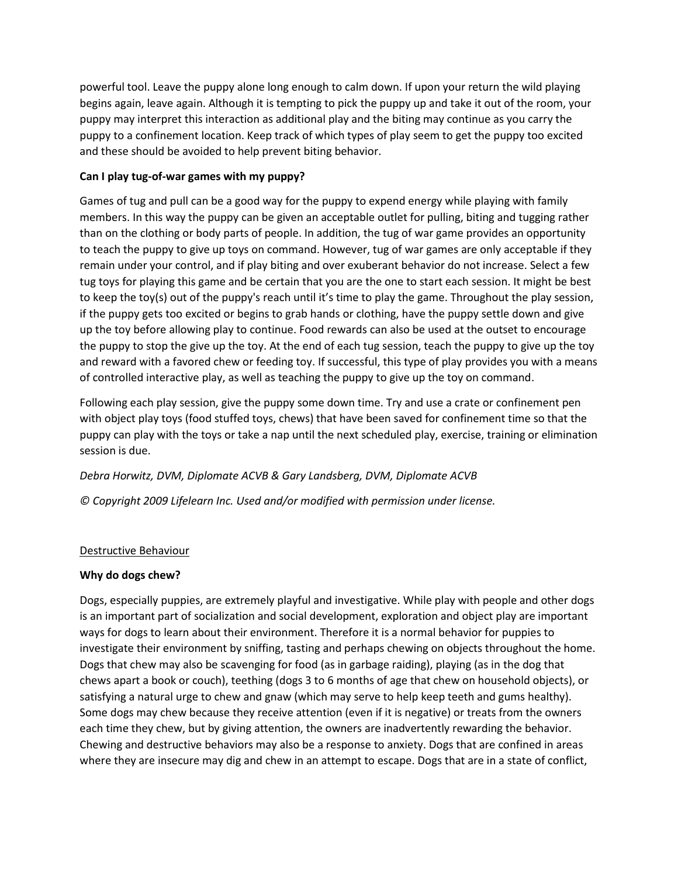powerful tool. Leave the puppy alone long enough to calm down. If upon your return the wild playing begins again, leave again. Although it is tempting to pick the puppy up and take it out of the room, your puppy may interpret this interaction as additional play and the biting may continue as you carry the puppy to a confinement location. Keep track of which types of play seem to get the puppy too excited and these should be avoided to help prevent biting behavior.

# **Can I play tug-of-war games with my puppy?**

Games of tug and pull can be a good way for the puppy to expend energy while playing with family members. In this way the puppy can be given an acceptable outlet for pulling, biting and tugging rather than on the clothing or body parts of people. In addition, the tug of war game provides an opportunity to teach the puppy to give up toys on command. However, tug of war games are only acceptable if they remain under your control, and if play biting and over exuberant behavior do not increase. Select a few tug toys for playing this game and be certain that you are the one to start each session. It might be best to keep the toy(s) out of the puppy's reach until it's time to play the game. Throughout the play session, if the puppy gets too excited or begins to grab hands or clothing, have the puppy settle down and give up the toy before allowing play to continue. Food rewards can also be used at the outset to encourage the puppy to stop the give up the toy. At the end of each tug session, teach the puppy to give up the toy and reward with a favored chew or feeding toy. If successful, this type of play provides you with a means of controlled interactive play, as well as teaching the puppy to give up the toy on command.

Following each play session, give the puppy some down time. Try and use a crate or confinement pen with object play toys (food stuffed toys, chews) that have been saved for confinement time so that the puppy can play with the toys or take a nap until the next scheduled play, exercise, training or elimination session is due.

*Debra Horwitz, DVM, Diplomate ACVB & Gary Landsberg, DVM, Diplomate ACVB*

*© Copyright 2009 Lifelearn Inc. Used and/or modified with permission under license.*

### Destructive Behaviour

### **Why do dogs chew?**

Dogs, especially puppies, are extremely playful and investigative. While play with people and other dogs is an important part of socialization and social development, exploration and object play are important ways for dogs to learn about their environment. Therefore it is a normal behavior for puppies to investigate their environment by sniffing, tasting and perhaps chewing on objects throughout the home. Dogs that chew may also be scavenging for food (as in garbage raiding), playing (as in the dog that chews apart a book or couch), teething (dogs 3 to 6 months of age that chew on household objects), or satisfying a natural urge to chew and gnaw (which may serve to help keep teeth and gums healthy). Some dogs may chew because they receive attention (even if it is negative) or treats from the owners each time they chew, but by giving attention, the owners are inadvertently rewarding the behavior. Chewing and destructive behaviors may also be a response to anxiety. Dogs that are confined in areas where they are insecure may dig and chew in an attempt to escape. Dogs that are in a state of conflict,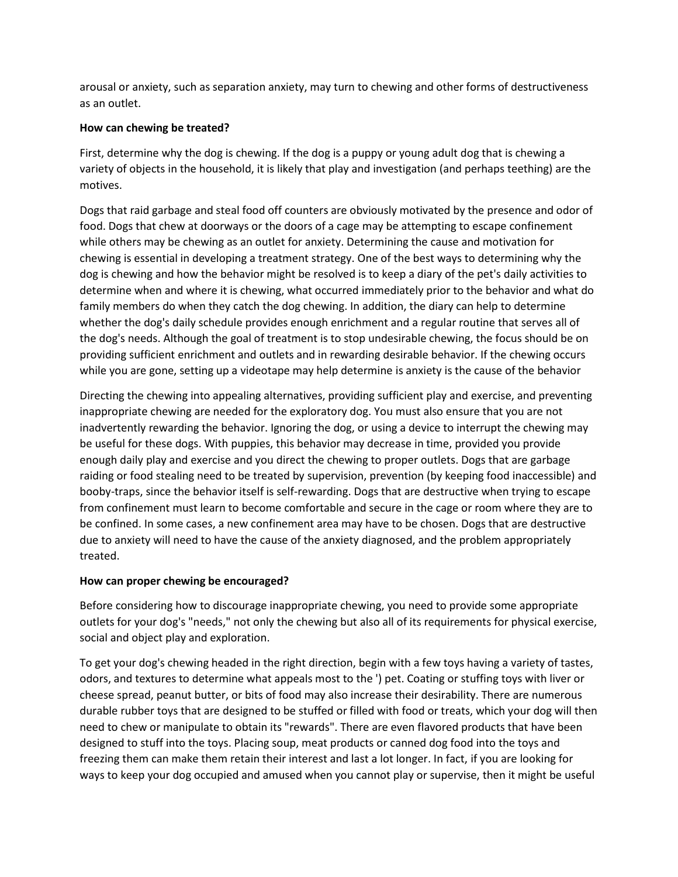arousal or anxiety, such as separation anxiety, may turn to chewing and other forms of destructiveness as an outlet.

# **How can chewing be treated?**

First, determine why the dog is chewing. If the dog is a puppy or young adult dog that is chewing a variety of objects in the household, it is likely that play and investigation (and perhaps teething) are the motives.

Dogs that raid garbage and steal food off counters are obviously motivated by the presence and odor of food. Dogs that chew at doorways or the doors of a cage may be attempting to escape confinement while others may be chewing as an outlet for anxiety. Determining the cause and motivation for chewing is essential in developing a treatment strategy. One of the best ways to determining why the dog is chewing and how the behavior might be resolved is to keep a diary of the pet's daily activities to determine when and where it is chewing, what occurred immediately prior to the behavior and what do family members do when they catch the dog chewing. In addition, the diary can help to determine whether the dog's daily schedule provides enough enrichment and a regular routine that serves all of the dog's needs. Although the goal of treatment is to stop undesirable chewing, the focus should be on providing sufficient enrichment and outlets and in rewarding desirable behavior. If the chewing occurs while you are gone, setting up a videotape may help determine is anxiety is the cause of the behavior

Directing the chewing into appealing alternatives, providing sufficient play and exercise, and preventing inappropriate chewing are needed for the exploratory dog. You must also ensure that you are not inadvertently rewarding the behavior. Ignoring the dog, or using a device to interrupt the chewing may be useful for these dogs. With puppies, this behavior may decrease in time, provided you provide enough daily play and exercise and you direct the chewing to proper outlets. Dogs that are garbage raiding or food stealing need to be treated by supervision, prevention (by keeping food inaccessible) and booby-traps, since the behavior itself is self-rewarding. Dogs that are destructive when trying to escape from confinement must learn to become comfortable and secure in the cage or room where they are to be confined. In some cases, a new confinement area may have to be chosen. Dogs that are destructive due to anxiety will need to have the cause of the anxiety diagnosed, and the problem appropriately treated.

### **How can proper chewing be encouraged?**

Before considering how to discourage inappropriate chewing, you need to provide some appropriate outlets for your dog's "needs," not only the chewing but also all of its requirements for physical exercise, social and object play and exploration.

To get your dog's chewing headed in the right direction, begin with a few toys having a variety of tastes, odors, and textures to determine what appeals most to the ') pet. Coating or stuffing toys with liver or cheese spread, peanut butter, or bits of food may also increase their desirability. There are numerous durable rubber toys that are designed to be stuffed or filled with food or treats, which your dog will then need to chew or manipulate to obtain its "rewards". There are even flavored products that have been designed to stuff into the toys. Placing soup, meat products or canned dog food into the toys and freezing them can make them retain their interest and last a lot longer. In fact, if you are looking for ways to keep your dog occupied and amused when you cannot play or supervise, then it might be useful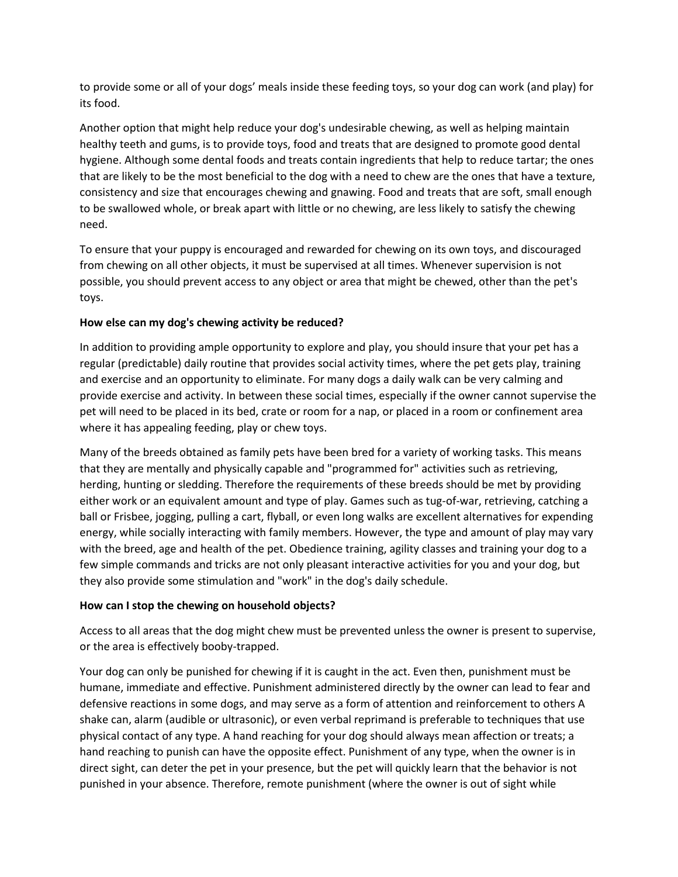to provide some or all of your dogs' meals inside these feeding toys, so your dog can work (and play) for its food.

Another option that might help reduce your dog's undesirable chewing, as well as helping maintain healthy teeth and gums, is to provide toys, food and treats that are designed to promote good dental hygiene. Although some dental foods and treats contain ingredients that help to reduce tartar; the ones that are likely to be the most beneficial to the dog with a need to chew are the ones that have a texture, consistency and size that encourages chewing and gnawing. Food and treats that are soft, small enough to be swallowed whole, or break apart with little or no chewing, are less likely to satisfy the chewing need.

To ensure that your puppy is encouraged and rewarded for chewing on its own toys, and discouraged from chewing on all other objects, it must be supervised at all times. Whenever supervision is not possible, you should prevent access to any object or area that might be chewed, other than the pet's toys.

# **How else can my dog's chewing activity be reduced?**

In addition to providing ample opportunity to explore and play, you should insure that your pet has a regular (predictable) daily routine that provides social activity times, where the pet gets play, training and exercise and an opportunity to eliminate. For many dogs a daily walk can be very calming and provide exercise and activity. In between these social times, especially if the owner cannot supervise the pet will need to be placed in its bed, crate or room for a nap, or placed in a room or confinement area where it has appealing feeding, play or chew toys.

Many of the breeds obtained as family pets have been bred for a variety of working tasks. This means that they are mentally and physically capable and "programmed for" activities such as retrieving, herding, hunting or sledding. Therefore the requirements of these breeds should be met by providing either work or an equivalent amount and type of play. Games such as tug-of-war, retrieving, catching a ball or Frisbee, jogging, pulling a cart, flyball, or even long walks are excellent alternatives for expending energy, while socially interacting with family members. However, the type and amount of play may vary with the breed, age and health of the pet. Obedience training, agility classes and training your dog to a few simple commands and tricks are not only pleasant interactive activities for you and your dog, but they also provide some stimulation and "work" in the dog's daily schedule.

### **How can I stop the chewing on household objects?**

Access to all areas that the dog might chew must be prevented unless the owner is present to supervise, or the area is effectively booby-trapped.

Your dog can only be punished for chewing if it is caught in the act. Even then, punishment must be humane, immediate and effective. Punishment administered directly by the owner can lead to fear and defensive reactions in some dogs, and may serve as a form of attention and reinforcement to others A shake can, alarm (audible or ultrasonic), or even verbal reprimand is preferable to techniques that use physical contact of any type. A hand reaching for your dog should always mean affection or treats; a hand reaching to punish can have the opposite effect. Punishment of any type, when the owner is in direct sight, can deter the pet in your presence, but the pet will quickly learn that the behavior is not punished in your absence. Therefore, remote punishment (where the owner is out of sight while